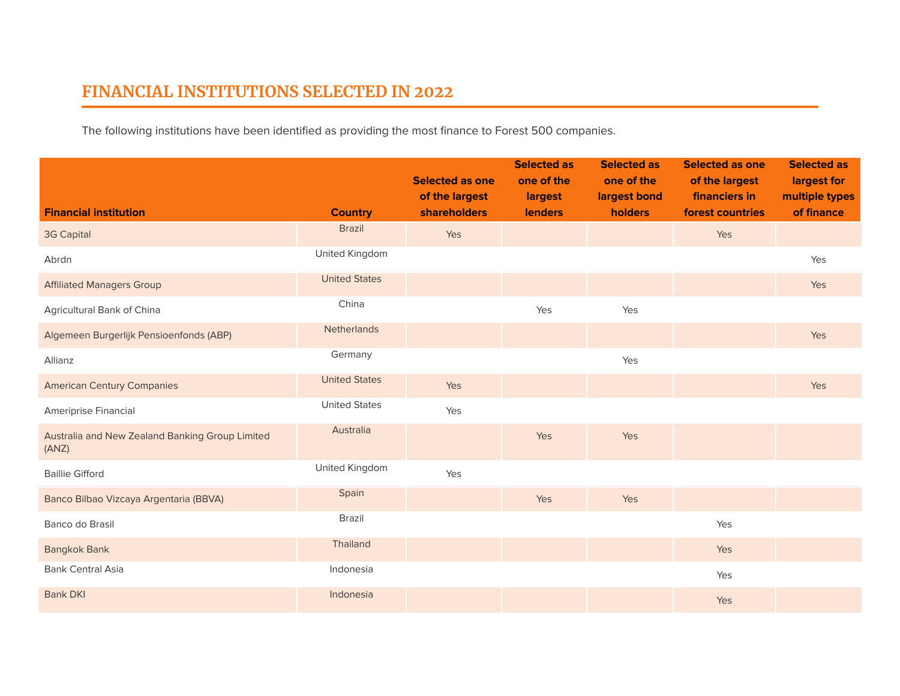## **FINANCIAL INSTITUTIONS SELECTED IN 2022**

The following institutions have been identified as providing the most finance to Forest 500 companies.

|                                                          |                      | <b>Selected as one</b><br>of the largest | <b>Selected as</b><br>one of the<br>largest | <b>Selected as</b><br>one of the<br>largest bond | <b>Selected as one</b><br>of the largest<br>financiers in | <b>Selected as</b><br>largest for<br>multiple types |
|----------------------------------------------------------|----------------------|------------------------------------------|---------------------------------------------|--------------------------------------------------|-----------------------------------------------------------|-----------------------------------------------------|
| <b>Financial institution</b>                             | <b>Country</b>       | <b>shareholders</b>                      | <b>lenders</b>                              | holders                                          | forest countries                                          | of finance                                          |
| 3G Capital                                               | <b>Brazil</b>        | Yes                                      |                                             |                                                  | Yes                                                       |                                                     |
| Abrdn                                                    | United Kingdom       |                                          |                                             |                                                  |                                                           | Yes                                                 |
| <b>Affiliated Managers Group</b>                         | <b>United States</b> |                                          |                                             |                                                  |                                                           | Yes                                                 |
| Agricultural Bank of China                               | China                |                                          | Yes                                         | Yes                                              |                                                           |                                                     |
| Algemeen Burgerlijk Pensioenfonds (ABP)                  | <b>Netherlands</b>   |                                          |                                             |                                                  |                                                           | Yes                                                 |
| Allianz                                                  | Germany              |                                          |                                             | Yes                                              |                                                           |                                                     |
| <b>American Century Companies</b>                        | <b>United States</b> | Yes                                      |                                             |                                                  |                                                           | Yes                                                 |
| Ameriprise Financial                                     | <b>United States</b> | Yes                                      |                                             |                                                  |                                                           |                                                     |
| Australia and New Zealand Banking Group Limited<br>(ANZ) | Australia            |                                          | Yes                                         | Yes                                              |                                                           |                                                     |
| <b>Baillie Gifford</b>                                   | United Kingdom       | Yes                                      |                                             |                                                  |                                                           |                                                     |
| Banco Bilbao Vizcaya Argentaria (BBVA)                   | Spain                |                                          | Yes                                         | Yes                                              |                                                           |                                                     |
| Banco do Brasil                                          | <b>Brazil</b>        |                                          |                                             |                                                  | Yes                                                       |                                                     |
| <b>Bangkok Bank</b>                                      | Thailand             |                                          |                                             |                                                  | Yes                                                       |                                                     |
| <b>Bank Central Asia</b>                                 | Indonesia            |                                          |                                             |                                                  | Yes                                                       |                                                     |
| <b>Bank DKI</b>                                          | Indonesia            |                                          |                                             |                                                  | Yes                                                       |                                                     |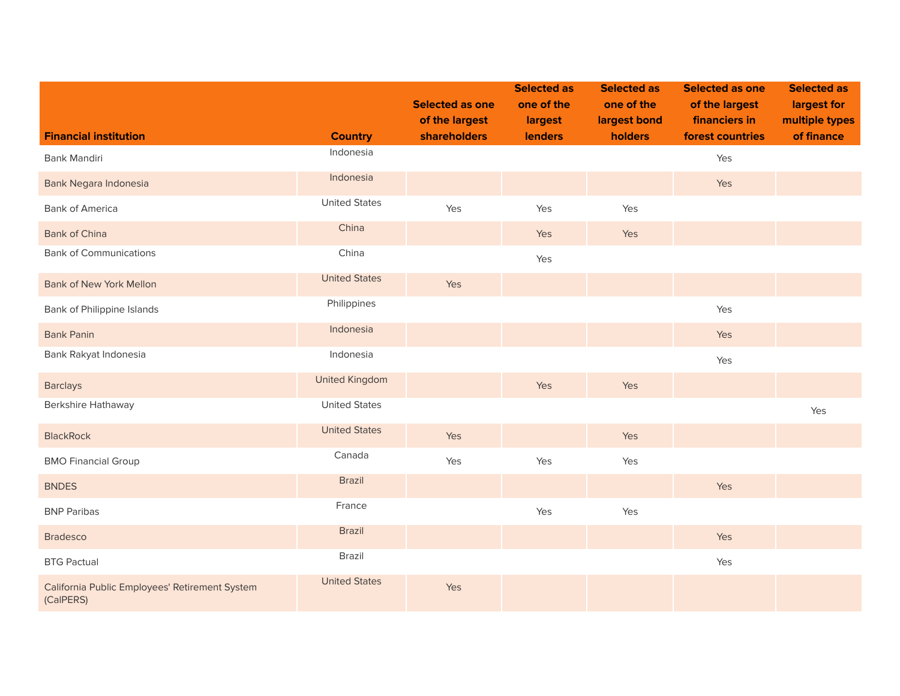|                                                             |                       | <b>Selected as one</b><br>of the largest | <b>Selected as</b><br>one of the<br>largest | <b>Selected as</b><br>one of the<br>largest bond | <b>Selected as one</b><br>of the largest<br>financiers in | <b>Selected as</b><br>largest for<br>multiple types |
|-------------------------------------------------------------|-----------------------|------------------------------------------|---------------------------------------------|--------------------------------------------------|-----------------------------------------------------------|-----------------------------------------------------|
| <b>Financial institution</b>                                | <b>Country</b>        | shareholders                             | <b>lenders</b>                              | holders                                          | forest countries                                          | of finance                                          |
| Bank Mandiri                                                | Indonesia             |                                          |                                             |                                                  | Yes                                                       |                                                     |
| Bank Negara Indonesia                                       | Indonesia             |                                          |                                             |                                                  | Yes                                                       |                                                     |
| <b>Bank of America</b>                                      | <b>United States</b>  | Yes                                      | Yes                                         | Yes                                              |                                                           |                                                     |
| <b>Bank of China</b>                                        | China                 |                                          | Yes                                         | Yes                                              |                                                           |                                                     |
| <b>Bank of Communications</b>                               | China                 |                                          | Yes                                         |                                                  |                                                           |                                                     |
| <b>Bank of New York Mellon</b>                              | <b>United States</b>  | Yes                                      |                                             |                                                  |                                                           |                                                     |
| Bank of Philippine Islands                                  | Philippines           |                                          |                                             |                                                  | Yes                                                       |                                                     |
| <b>Bank Panin</b>                                           | Indonesia             |                                          |                                             |                                                  | Yes                                                       |                                                     |
| Bank Rakyat Indonesia                                       | Indonesia             |                                          |                                             |                                                  | Yes                                                       |                                                     |
| <b>Barclays</b>                                             | <b>United Kingdom</b> |                                          | Yes                                         | Yes                                              |                                                           |                                                     |
| Berkshire Hathaway                                          | <b>United States</b>  |                                          |                                             |                                                  |                                                           | Yes                                                 |
| <b>BlackRock</b>                                            | <b>United States</b>  | Yes                                      |                                             | Yes                                              |                                                           |                                                     |
| <b>BMO Financial Group</b>                                  | Canada                | Yes                                      | Yes                                         | Yes                                              |                                                           |                                                     |
| <b>BNDES</b>                                                | <b>Brazil</b>         |                                          |                                             |                                                  | Yes                                                       |                                                     |
| <b>BNP Paribas</b>                                          | France                |                                          | Yes                                         | Yes                                              |                                                           |                                                     |
| <b>Bradesco</b>                                             | <b>Brazil</b>         |                                          |                                             |                                                  | Yes                                                       |                                                     |
| <b>BTG Pactual</b>                                          | Brazil                |                                          |                                             |                                                  | Yes                                                       |                                                     |
| California Public Employees' Retirement System<br>(CalPERS) | <b>United States</b>  | Yes                                      |                                             |                                                  |                                                           |                                                     |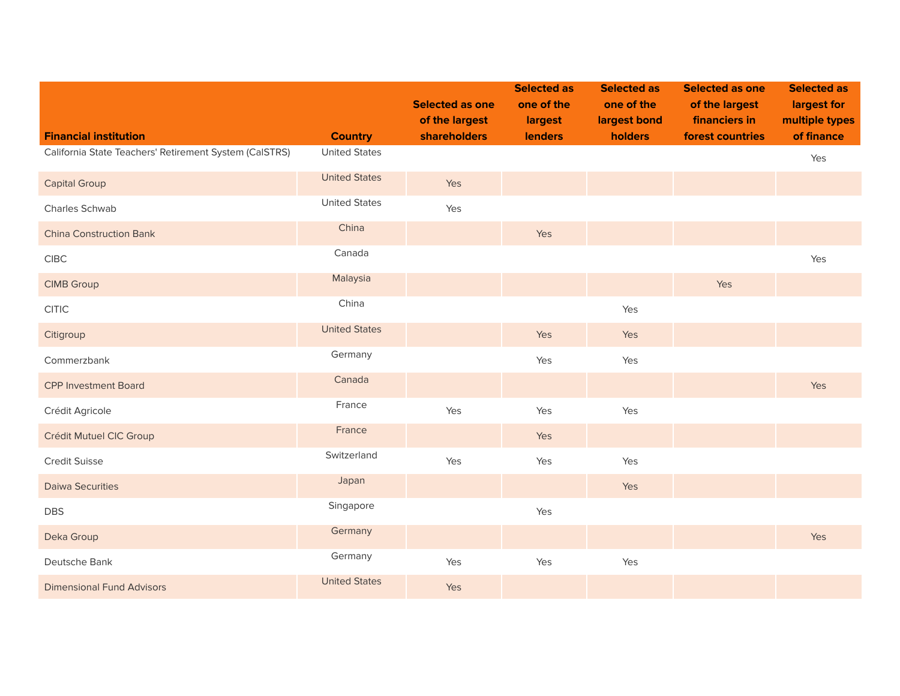|                                                        |                      | <b>Selected as one</b><br>of the largest | <b>Selected as</b><br>one of the<br>largest | <b>Selected as</b><br>one of the<br>largest bond | <b>Selected as one</b><br>of the largest<br>financiers in | <b>Selected as</b><br>largest for<br>multiple types |
|--------------------------------------------------------|----------------------|------------------------------------------|---------------------------------------------|--------------------------------------------------|-----------------------------------------------------------|-----------------------------------------------------|
| <b>Financial institution</b>                           | <b>Country</b>       | <b>shareholders</b>                      | <b>lenders</b>                              | holders                                          | forest countries                                          | of finance                                          |
| California State Teachers' Retirement System (CalSTRS) | <b>United States</b> |                                          |                                             |                                                  |                                                           | Yes                                                 |
| <b>Capital Group</b>                                   | <b>United States</b> | Yes                                      |                                             |                                                  |                                                           |                                                     |
| Charles Schwab                                         | <b>United States</b> | Yes                                      |                                             |                                                  |                                                           |                                                     |
| <b>China Construction Bank</b>                         | China                |                                          | Yes                                         |                                                  |                                                           |                                                     |
| ${\sf CIBC}$                                           | Canada               |                                          |                                             |                                                  |                                                           | Yes                                                 |
| <b>CIMB Group</b>                                      | Malaysia             |                                          |                                             |                                                  | Yes                                                       |                                                     |
| CITIC                                                  | China                |                                          |                                             | Yes                                              |                                                           |                                                     |
| Citigroup                                              | <b>United States</b> |                                          | Yes                                         | Yes                                              |                                                           |                                                     |
| Commerzbank                                            | Germany              |                                          | Yes                                         | Yes                                              |                                                           |                                                     |
| <b>CPP Investment Board</b>                            | Canada               |                                          |                                             |                                                  |                                                           | Yes                                                 |
| Crédit Agricole                                        | France               | Yes                                      | Yes                                         | Yes                                              |                                                           |                                                     |
| Crédit Mutuel CIC Group                                | France               |                                          | Yes                                         |                                                  |                                                           |                                                     |
| Credit Suisse                                          | Switzerland          | Yes                                      | Yes                                         | Yes                                              |                                                           |                                                     |
| <b>Daiwa Securities</b>                                | Japan                |                                          |                                             | Yes                                              |                                                           |                                                     |
| <b>DBS</b>                                             | Singapore            |                                          | Yes                                         |                                                  |                                                           |                                                     |
| Deka Group                                             | Germany              |                                          |                                             |                                                  |                                                           | Yes                                                 |
| Deutsche Bank                                          | Germany              | Yes                                      | Yes                                         | Yes                                              |                                                           |                                                     |
| <b>Dimensional Fund Advisors</b>                       | <b>United States</b> | Yes                                      |                                             |                                                  |                                                           |                                                     |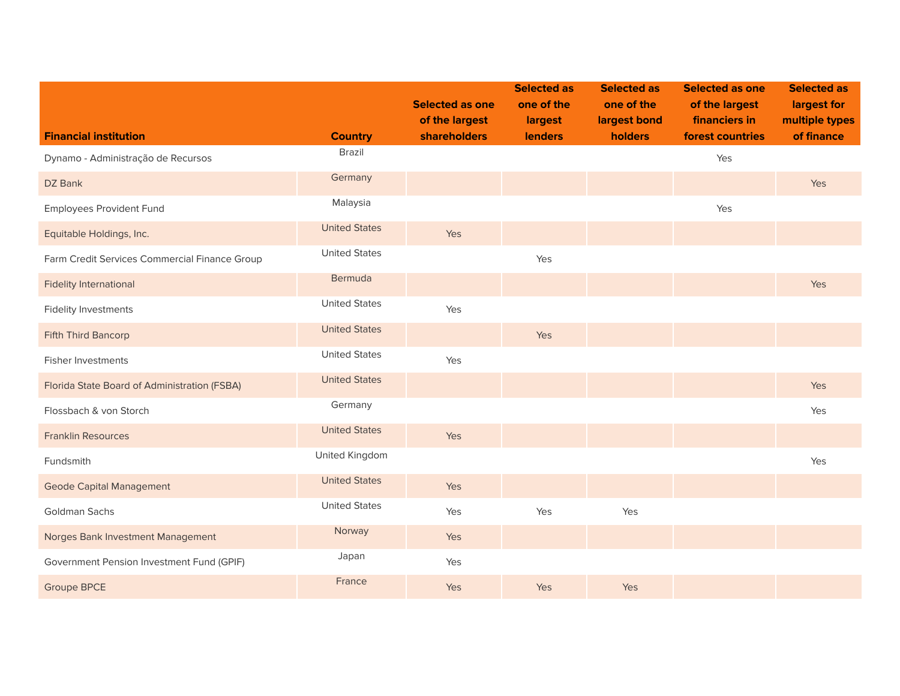|                                               |                      | <b>Selected as one</b><br>of the largest | <b>Selected as</b><br>one of the<br>largest | <b>Selected as</b><br>one of the<br>largest bond | <b>Selected as one</b><br>of the largest<br>financiers in | <b>Selected as</b><br>largest for<br>multiple types |
|-----------------------------------------------|----------------------|------------------------------------------|---------------------------------------------|--------------------------------------------------|-----------------------------------------------------------|-----------------------------------------------------|
| <b>Financial institution</b>                  | <b>Country</b>       | <b>shareholders</b>                      | <b>lenders</b>                              | holders                                          | forest countries                                          | of finance                                          |
| Dynamo - Administração de Recursos            | Brazil               |                                          |                                             |                                                  | Yes                                                       |                                                     |
| DZ Bank                                       | Germany              |                                          |                                             |                                                  |                                                           | Yes                                                 |
| <b>Employees Provident Fund</b>               | Malaysia             |                                          |                                             |                                                  | Yes                                                       |                                                     |
| Equitable Holdings, Inc.                      | <b>United States</b> | Yes                                      |                                             |                                                  |                                                           |                                                     |
| Farm Credit Services Commercial Finance Group | <b>United States</b> |                                          | Yes                                         |                                                  |                                                           |                                                     |
| <b>Fidelity International</b>                 | Bermuda              |                                          |                                             |                                                  |                                                           | Yes                                                 |
| <b>Fidelity Investments</b>                   | <b>United States</b> | Yes                                      |                                             |                                                  |                                                           |                                                     |
| Fifth Third Bancorp                           | <b>United States</b> |                                          | Yes                                         |                                                  |                                                           |                                                     |
| <b>Fisher Investments</b>                     | <b>United States</b> | Yes                                      |                                             |                                                  |                                                           |                                                     |
| Florida State Board of Administration (FSBA)  | <b>United States</b> |                                          |                                             |                                                  |                                                           | Yes                                                 |
| Flossbach & von Storch                        | Germany              |                                          |                                             |                                                  |                                                           | Yes                                                 |
| <b>Franklin Resources</b>                     | <b>United States</b> | Yes                                      |                                             |                                                  |                                                           |                                                     |
| Fundsmith                                     | United Kingdom       |                                          |                                             |                                                  |                                                           | Yes                                                 |
| <b>Geode Capital Management</b>               | <b>United States</b> | Yes                                      |                                             |                                                  |                                                           |                                                     |
| Goldman Sachs                                 | <b>United States</b> | Yes                                      | Yes                                         | Yes                                              |                                                           |                                                     |
| Norges Bank Investment Management             | Norway               | Yes                                      |                                             |                                                  |                                                           |                                                     |
| Government Pension Investment Fund (GPIF)     | Japan                | Yes                                      |                                             |                                                  |                                                           |                                                     |
| <b>Groupe BPCE</b>                            | France               | Yes                                      | Yes                                         | Yes                                              |                                                           |                                                     |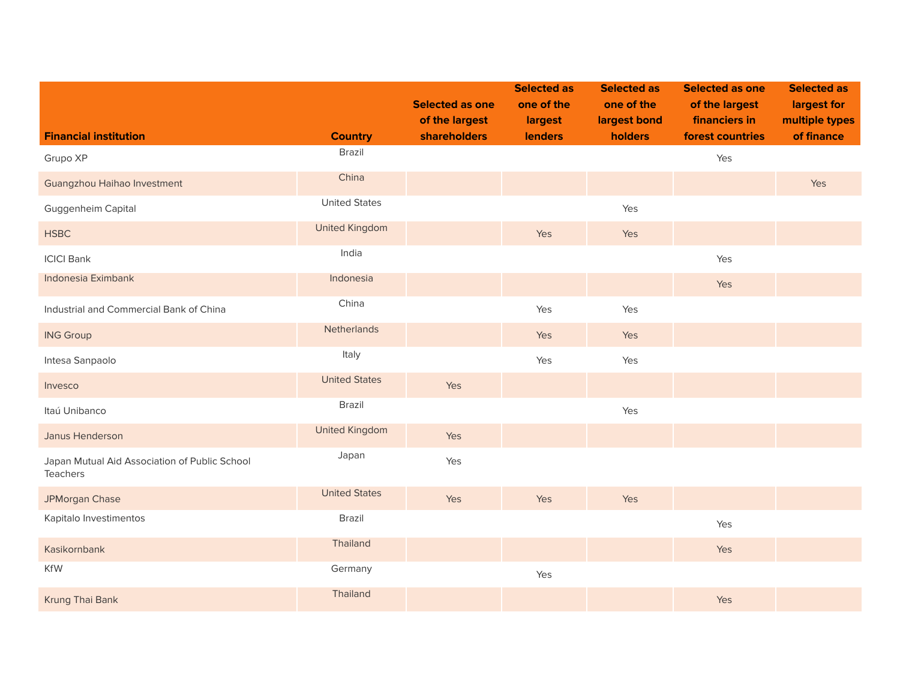|                                                           |                       | <b>Selected as one</b><br>of the largest | <b>Selected as</b><br>one of the<br>largest | <b>Selected as</b><br>one of the<br>largest bond | <b>Selected as one</b><br>of the largest<br>financiers in | <b>Selected as</b><br>largest for<br>multiple types |
|-----------------------------------------------------------|-----------------------|------------------------------------------|---------------------------------------------|--------------------------------------------------|-----------------------------------------------------------|-----------------------------------------------------|
| <b>Financial institution</b>                              | <b>Country</b>        | shareholders                             | <b>lenders</b>                              | holders                                          | forest countries                                          | of finance                                          |
| Grupo XP                                                  | Brazil                |                                          |                                             |                                                  | Yes                                                       |                                                     |
| Guangzhou Haihao Investment                               | China                 |                                          |                                             |                                                  |                                                           | Yes                                                 |
| Guggenheim Capital                                        | <b>United States</b>  |                                          |                                             | Yes                                              |                                                           |                                                     |
| <b>HSBC</b>                                               | <b>United Kingdom</b> |                                          | Yes                                         | Yes                                              |                                                           |                                                     |
| <b>ICICI Bank</b>                                         | India                 |                                          |                                             |                                                  | Yes                                                       |                                                     |
| Indonesia Eximbank                                        | Indonesia             |                                          |                                             |                                                  | Yes                                                       |                                                     |
| Industrial and Commercial Bank of China                   | China                 |                                          | Yes                                         | Yes                                              |                                                           |                                                     |
| <b>ING Group</b>                                          | Netherlands           |                                          | Yes                                         | Yes                                              |                                                           |                                                     |
| Intesa Sanpaolo                                           | Italy                 |                                          | Yes                                         | Yes                                              |                                                           |                                                     |
| Invesco                                                   | <b>United States</b>  | Yes                                      |                                             |                                                  |                                                           |                                                     |
| Itaú Unibanco                                             | Brazil                |                                          |                                             | Yes                                              |                                                           |                                                     |
| Janus Henderson                                           | <b>United Kingdom</b> | Yes                                      |                                             |                                                  |                                                           |                                                     |
| Japan Mutual Aid Association of Public School<br>Teachers | Japan                 | Yes                                      |                                             |                                                  |                                                           |                                                     |
| JPMorgan Chase                                            | <b>United States</b>  | Yes                                      | Yes                                         | Yes                                              |                                                           |                                                     |
| Kapitalo Investimentos                                    | Brazil                |                                          |                                             |                                                  | Yes                                                       |                                                     |
| Kasikornbank                                              | Thailand              |                                          |                                             |                                                  | Yes                                                       |                                                     |
| KfW                                                       | Germany               |                                          | Yes                                         |                                                  |                                                           |                                                     |
| Krung Thai Bank                                           | Thailand              |                                          |                                             |                                                  | Yes                                                       |                                                     |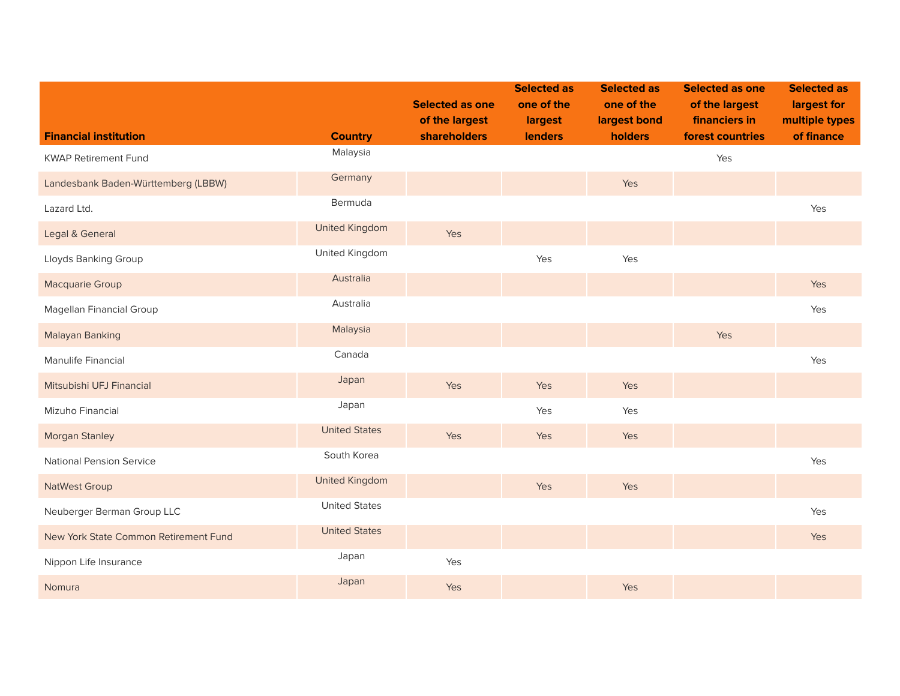|                                       |                       | <b>Selected as one</b><br>of the largest | <b>Selected as</b><br>one of the<br>largest | <b>Selected as</b><br>one of the<br>largest bond | <b>Selected as one</b><br>of the largest<br>financiers in | <b>Selected as</b><br>largest for<br>multiple types |
|---------------------------------------|-----------------------|------------------------------------------|---------------------------------------------|--------------------------------------------------|-----------------------------------------------------------|-----------------------------------------------------|
| <b>Financial institution</b>          | <b>Country</b>        | <b>shareholders</b>                      | <b>lenders</b>                              | holders                                          | forest countries                                          | of finance                                          |
| <b>KWAP Retirement Fund</b>           | Malaysia              |                                          |                                             |                                                  | Yes                                                       |                                                     |
| Landesbank Baden-Württemberg (LBBW)   | Germany               |                                          |                                             | Yes                                              |                                                           |                                                     |
| Lazard Ltd.                           | Bermuda               |                                          |                                             |                                                  |                                                           | Yes                                                 |
| Legal & General                       | <b>United Kingdom</b> | Yes                                      |                                             |                                                  |                                                           |                                                     |
| Lloyds Banking Group                  | United Kingdom        |                                          | Yes                                         | Yes                                              |                                                           |                                                     |
| Macquarie Group                       | Australia             |                                          |                                             |                                                  |                                                           | Yes                                                 |
| Magellan Financial Group              | Australia             |                                          |                                             |                                                  |                                                           | Yes                                                 |
| Malayan Banking                       | Malaysia              |                                          |                                             |                                                  | Yes                                                       |                                                     |
| Manulife Financial                    | Canada                |                                          |                                             |                                                  |                                                           | Yes                                                 |
| Mitsubishi UFJ Financial              | Japan                 | Yes                                      | Yes                                         | Yes                                              |                                                           |                                                     |
| Mizuho Financial                      | Japan                 |                                          | Yes                                         | Yes                                              |                                                           |                                                     |
| <b>Morgan Stanley</b>                 | <b>United States</b>  | Yes                                      | Yes                                         | Yes                                              |                                                           |                                                     |
| <b>National Pension Service</b>       | South Korea           |                                          |                                             |                                                  |                                                           | Yes                                                 |
| <b>NatWest Group</b>                  | <b>United Kingdom</b> |                                          | Yes                                         | Yes                                              |                                                           |                                                     |
| Neuberger Berman Group LLC            | <b>United States</b>  |                                          |                                             |                                                  |                                                           | Yes                                                 |
| New York State Common Retirement Fund | <b>United States</b>  |                                          |                                             |                                                  |                                                           | Yes                                                 |
| Nippon Life Insurance                 | Japan                 | Yes                                      |                                             |                                                  |                                                           |                                                     |
| Nomura                                | Japan                 | Yes                                      |                                             | Yes                                              |                                                           |                                                     |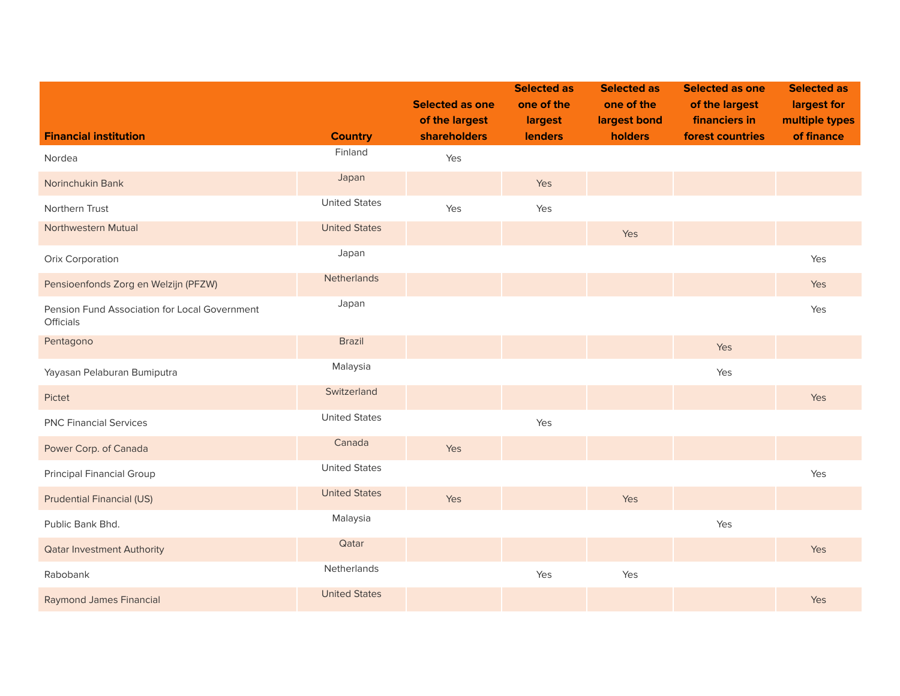|                                                            |                      | <b>Selected as one</b><br>of the largest | <b>Selected as</b><br>one of the<br>largest | <b>Selected as</b><br>one of the<br>largest bond | <b>Selected as one</b><br>of the largest<br>financiers in | <b>Selected as</b><br>largest for<br>multiple types |
|------------------------------------------------------------|----------------------|------------------------------------------|---------------------------------------------|--------------------------------------------------|-----------------------------------------------------------|-----------------------------------------------------|
| <b>Financial institution</b>                               | <b>Country</b>       | shareholders                             | <b>lenders</b>                              | holders                                          | forest countries                                          | of finance                                          |
| Nordea                                                     | Finland              | Yes                                      |                                             |                                                  |                                                           |                                                     |
| Norinchukin Bank                                           | Japan                |                                          | Yes                                         |                                                  |                                                           |                                                     |
| Northern Trust                                             | <b>United States</b> | Yes                                      | Yes                                         |                                                  |                                                           |                                                     |
| Northwestern Mutual                                        | <b>United States</b> |                                          |                                             | Yes                                              |                                                           |                                                     |
| Orix Corporation                                           | Japan                |                                          |                                             |                                                  |                                                           | Yes                                                 |
| Pensioenfonds Zorg en Welzijn (PFZW)                       | Netherlands          |                                          |                                             |                                                  |                                                           | Yes                                                 |
| Pension Fund Association for Local Government<br>Officials | Japan                |                                          |                                             |                                                  |                                                           | Yes                                                 |
| Pentagono                                                  | <b>Brazil</b>        |                                          |                                             |                                                  | <b>Yes</b>                                                |                                                     |
| Yayasan Pelaburan Bumiputra                                | Malaysia             |                                          |                                             |                                                  | Yes                                                       |                                                     |
| Pictet                                                     | Switzerland          |                                          |                                             |                                                  |                                                           | Yes                                                 |
| <b>PNC Financial Services</b>                              | <b>United States</b> |                                          | Yes                                         |                                                  |                                                           |                                                     |
| Power Corp. of Canada                                      | Canada               | Yes                                      |                                             |                                                  |                                                           |                                                     |
| <b>Principal Financial Group</b>                           | <b>United States</b> |                                          |                                             |                                                  |                                                           | Yes                                                 |
| <b>Prudential Financial (US)</b>                           | <b>United States</b> | Yes                                      |                                             | Yes                                              |                                                           |                                                     |
| Public Bank Bhd.                                           | Malaysia             |                                          |                                             |                                                  | Yes                                                       |                                                     |
| <b>Qatar Investment Authority</b>                          | Qatar                |                                          |                                             |                                                  |                                                           | Yes                                                 |
| Rabobank                                                   | Netherlands          |                                          | Yes                                         | Yes                                              |                                                           |                                                     |
| <b>Raymond James Financial</b>                             | <b>United States</b> |                                          |                                             |                                                  |                                                           | Yes                                                 |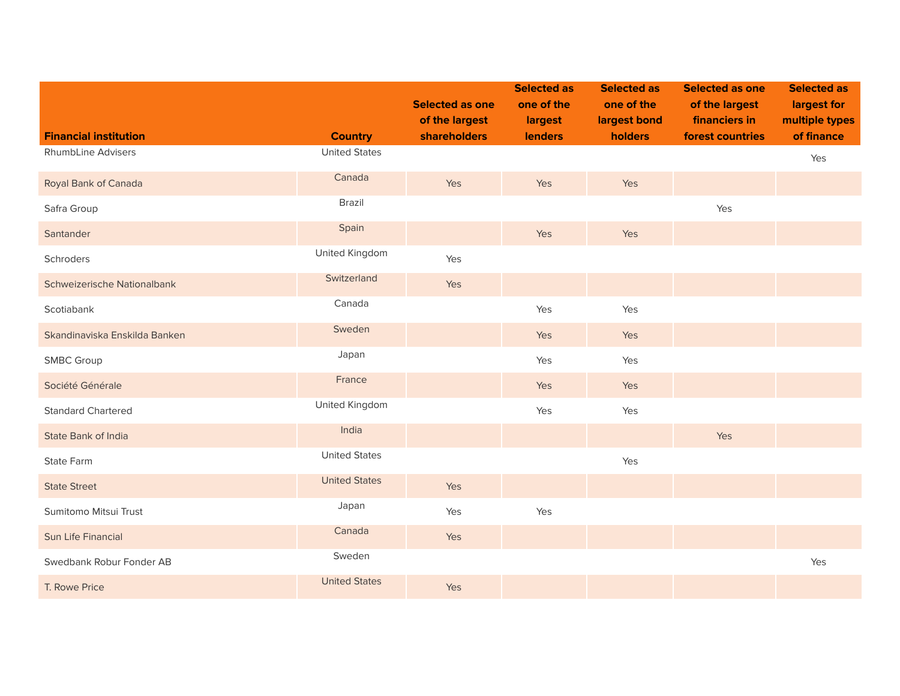| <b>Financial institution</b>  | <b>Country</b>       | <b>Selected as one</b><br>of the largest<br>shareholders | <b>Selected as</b><br>one of the<br>largest<br>lenders | <b>Selected as</b><br>one of the<br>largest bond<br>holders | <b>Selected as one</b><br>of the largest<br>financiers in<br>forest countries | <b>Selected as</b><br>largest for<br>multiple types<br>of finance |
|-------------------------------|----------------------|----------------------------------------------------------|--------------------------------------------------------|-------------------------------------------------------------|-------------------------------------------------------------------------------|-------------------------------------------------------------------|
| RhumbLine Advisers            | <b>United States</b> |                                                          |                                                        |                                                             |                                                                               |                                                                   |
|                               |                      |                                                          |                                                        |                                                             |                                                                               | Yes                                                               |
| Royal Bank of Canada          | Canada               | Yes                                                      | Yes                                                    | Yes                                                         |                                                                               |                                                                   |
| Safra Group                   | Brazil               |                                                          |                                                        |                                                             | Yes                                                                           |                                                                   |
| Santander                     | Spain                |                                                          | Yes                                                    | Yes                                                         |                                                                               |                                                                   |
| Schroders                     | United Kingdom       | Yes                                                      |                                                        |                                                             |                                                                               |                                                                   |
| Schweizerische Nationalbank   | Switzerland          | Yes                                                      |                                                        |                                                             |                                                                               |                                                                   |
| Scotiabank                    | Canada               |                                                          | Yes                                                    | Yes                                                         |                                                                               |                                                                   |
| Skandinaviska Enskilda Banken | Sweden               |                                                          | Yes                                                    | Yes                                                         |                                                                               |                                                                   |
| <b>SMBC Group</b>             | Japan                |                                                          | Yes                                                    | Yes                                                         |                                                                               |                                                                   |
| Société Générale              | France               |                                                          | Yes                                                    | Yes                                                         |                                                                               |                                                                   |
| <b>Standard Chartered</b>     | United Kingdom       |                                                          | Yes                                                    | Yes                                                         |                                                                               |                                                                   |
| State Bank of India           | India                |                                                          |                                                        |                                                             | Yes                                                                           |                                                                   |
| State Farm                    | <b>United States</b> |                                                          |                                                        | Yes                                                         |                                                                               |                                                                   |
| <b>State Street</b>           | <b>United States</b> | Yes                                                      |                                                        |                                                             |                                                                               |                                                                   |
| Sumitomo Mitsui Trust         | Japan                | Yes                                                      | Yes                                                    |                                                             |                                                                               |                                                                   |
| Sun Life Financial            | Canada               | Yes                                                      |                                                        |                                                             |                                                                               |                                                                   |
| Swedbank Robur Fonder AB      | Sweden               |                                                          |                                                        |                                                             |                                                                               | Yes                                                               |
| T. Rowe Price                 | <b>United States</b> | Yes                                                      |                                                        |                                                             |                                                                               |                                                                   |